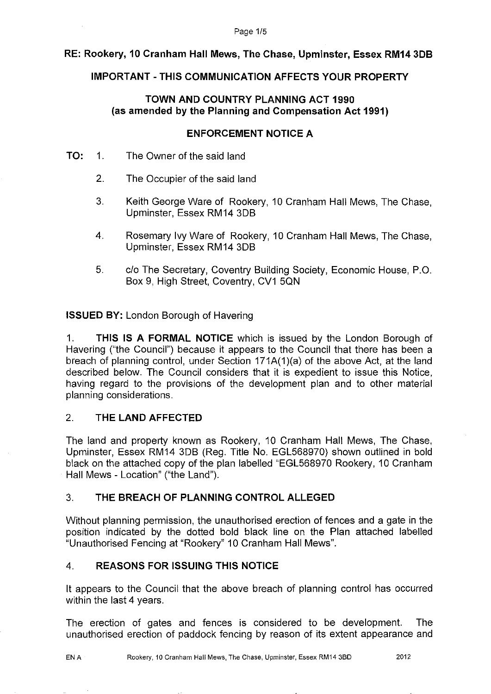#### Page 1/5

# **RE: Rookery, 10 Cranham Hall Mews, The Chase, Upminster, Essex RM14 3DB**

## **IMPORTANT-THIS COMMUNICATION AFFECTS YOUR PROPERTY**

## **TOWN AND COUNTRY PLANNING ACT 1990 (as amended by the Planning and Compensation Act 1991)**

## **ENFORCEMENT NOTICE A**

- **TO:** 1. The Owner of the said land
	- 2. The Occupier of the said land
	- 3. Keith George Ware of Rookery, 10 Cranham Hall Mews, The Chase, Upminster, Essex RM14 3DB
	- 4. Rosemary Ivy Ware of Rookery, 10 Cranham Hall Mews, The Chase, Upminster, Essex RM14 3DB
	- 5. c/o The Secretary, Coventry Building Society, Economic House, P.O. Box 9, High Street, Coventry, CV1 5QN

**ISSUED BY:** London Borough of Havering

1. **THIS IS A FORMAL NOTICE** which is issued by the London Borough of Havering ("the Council") because it appears to the Council that there has been a breach of planning control, under Section 171A(1 )(a) of the above Act, at the land described below. The Council considers that it is expedient to issue this Notice, having regard to the provisions of the development plan and to other material planning considerations.

## 2. **THE LAND AFFECTED**

The land and property known as Rookery, 10 Cranham Hall Mews, The Chase, Upminster, Essex RM14 3DB (Reg. Title No. EGL568970) shown outlined in bold black on the attached copy of the plan labelled "EGL568970 Rookery, 1O Cranham Hall Mews - Location" ("the Land").

# 3. **THE BREACH OF PLANNING CONTROL ALLEGED**

Without planning permission, the unauthorised erection of fences and a gate in the position indicated by the dotted bold black line on the Plan attached labelled "Unauthorised Fencing at "Rookery" 10 Cranham Hall Mews".

# 4. **REASONS FOR ISSUING THIS NOTICE**

It appears to the Council that the above breach of planning control has occurred within the last 4 years.

The erection of gates and fences is considered to be development. The unauthorised erection of paddock fencing by reason of its extent appearance and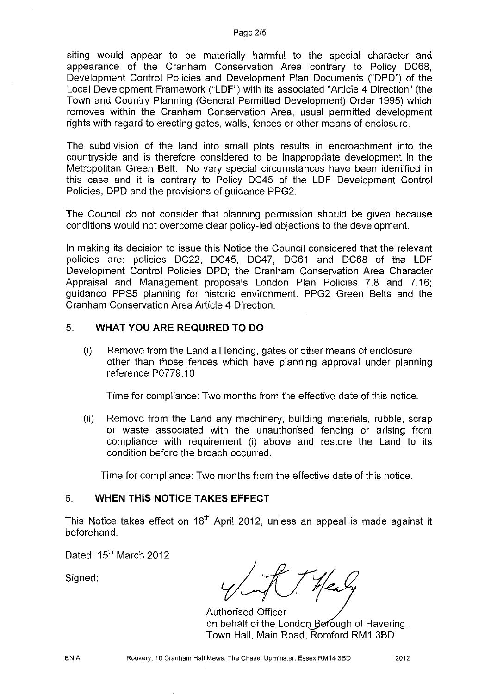siting would appear to be materially harmful to the special character and appearance of the Cranham Conservation Area contrary to Policy DC68, Development Control Policies and Development Plan Documents ("DPD") of the Local Development Framework ("LDF") with its associated "Article 4 Direction" (the Town and Country Planning (General Permitted Development) Order 1995) which removes within the Cranham Conservation Area, usual permitted development rights with regard to erecting gates, walls, fences or other means of enclosure.

The subdivision of the land into small plots results in encroachment into the countryside and is therefore considered to be inappropriate development in the Metropolitan Green Belt. No very special circumstances have been identified in this case and it is contrary to Policy DC45 of the LDF Development Control Policies, DPD and the provisions of guidance PPG2.

The Council do not consider that planning permission should be given because conditions would not overcome clear policy-led objections to the development.

In making its decision to issue this Notice the Council considered that the relevant policies are: policies DC22, DC45, DC47, DC61 and DC68 of the LDF Development Control Policies DPD; the Cranham Conservation Area Character Appraisal and Management proposals London Plan Policies 7.8 and 7.16; guidance PPS5 planning for historic environment, PPG2 Green Belts and the Cranham Conservation Area Article4 Direction.

#### 5. **WHAT YOU ARE REQUIRED TO DO**

(i) Remove from the Land all fencing, gates or other means of enclosure other than those fences which have planning approval under planning reference P0779.10

Time for compliance: Two months from the effective date of this notice.

(ii) Remove from the Land any machinery, building materials, rubble, scrap or waste associated with the unauthorised fencing or arising from compliance with requirement (i) above and restore the Land to its condition before the breach occurred.

Time for compliance: Two months from the effective date of this notice.

## 6. **WHEN THIS NOTICE TAKES EFFECT**

This Notice takes effect on 18<sup>th</sup> April 2012, unless an appeal is made against it beforehand.

Dated: 15<sup>th</sup> March 2012

Signed:

Authorised Officer on behalf of the London Berough of Havering Town Hall, Main Road, Romford RM1 3BD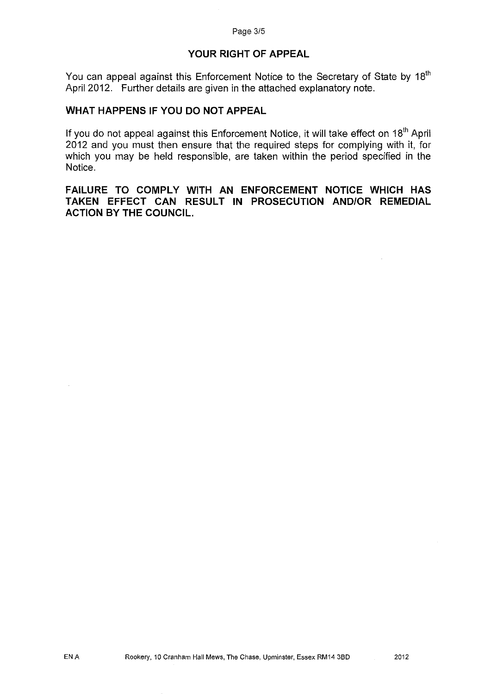## **YOUR RIGHT OF APPEAL**

You can appeal against this Enforcement Notice to the Secretary of State by 18<sup>th</sup> April 2012. Further details are given in the attached explanatory note.

#### **WHAT HAPPENS IF YOU DO NOT APPEAL**

If you do not appeal against this Enforcement Notice, it will take effect on  $18<sup>th</sup>$  April 2012 and you must then ensure that the required steps for complying with it, for which you may be held responsible, are taken within the period specified in the Notice.

**FAILURE TO COMPLY WITH AN ENFORCEMENT NOTICE WHICH HAS TAKEN EFFECT CAN RESULT IN PROSECUTION AND/OR REMEDIAL ACTION BY THE COUNCIL.**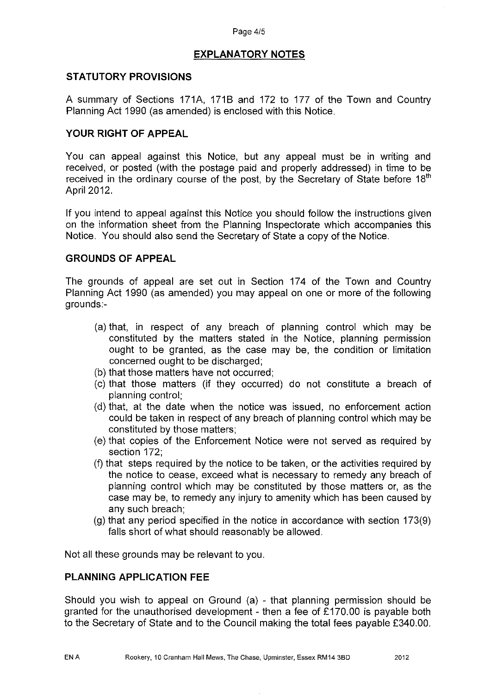#### Page 4/5

## **EXPLANATORY NOTES**

#### **STATUTORY PROVISIONS**

A summary of Sections 171A, 171B and 172 to 177 of the Town and Country Planning Act 1990 (as amended) is enclosed with this Notice.

## **YOUR RIGHT OF APPEAL**

You can appeal against this Notice, but any appeal must be in writing and received, or posted (with the postage paid and properly addressed) in time to be received in the ordinary course of the post, by the Secretary of State before 18<sup>th</sup> April 2012.

If you intend to appeal against this Notice you should follow the instructions given on the information sheet from the Planning Inspectorate which accompanies this Notice. You should also send the Secretary of State a copy of the Notice.

#### **GROUNDS OF APPEAL**

The grounds of appeal are set out in Section 174 of the Town and Country Planning Act 1990 (as amended) you may appeal on one or more of the following grounds:-

- (a) that, in respect of any breach of planning control which may be constituted by the matters stated in the Notice, planning permission ought to be granted, as the case may be, the condition or limitation concerned ought to be discharged;
- (b) that those matters have not occurred;
- (c) that those matters (if they occurred) do not constitute a breach of planning control;
- (d) that, at the date when the notice was issued, no enforcement action could be taken in respect of any breach of planning control which may be constituted by those matters;
- (e) that copies of the Enforcement Notice were not served as required by section 172;
- (f) that steps required by the notice to be taken, or the activities required by the notice to cease, exceed what is necessary to remedy any breach of planning control which may be constituted by those matters or, as the case may be, to remedy any injury to amenity which has been caused by any such breach;
- (g) that any period specified in the notice in accordance with section 173(9) falls short of what should reasonably be allowed.

Not all these grounds may be relevant to you.

#### **PLANNING APPLICATION FEE**

Should you wish to appeal on Ground (a) - that planning permission should be granted for the unauthorised development - then a fee of £170.00 is payable both to the Secretary of State and to the Council making the total fees payable £340.00.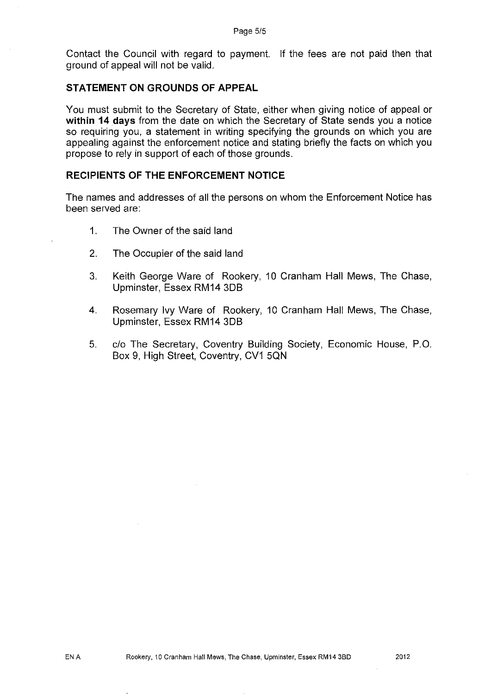Contact the Council with regard to payment. If the fees are not paid then that ground of appeal will not be valid.

#### **STATEMENT ON GROUNDS OF APPEAL**

You must submit to the Secretary of State, either when giving notice of appeal or **within 14 days** from the date on which the Secretary of State sends you a notice so requiring you, a statement in writing specifying the grounds on which you are appealing against the enforcement notice and stating briefly the facts on which you propose to rely in support of each of those grounds.

#### **RECIPIENTS OF THE ENFORCEMENT NOTICE**

The names and addresses of all the persons on whom the Enforcement Notice has been served are:

- 1. The Owner of the said land
- 2. The Occupier of the said land
- 3. Keith George Ware of Rookery, 10 Cranham Hall Mews, The Chase, Upminster, Essex RM14 3DB
- 4. Rosemary Ivy Ware of Rookery, 10 Cranham Hall Mews, The Chase, Upminster, Essex RM14 3DB
- 5. clo The Secretary, Coventry Building Society, Economic House, P.O. Box 9, High Street, Coventry, CV1 5QN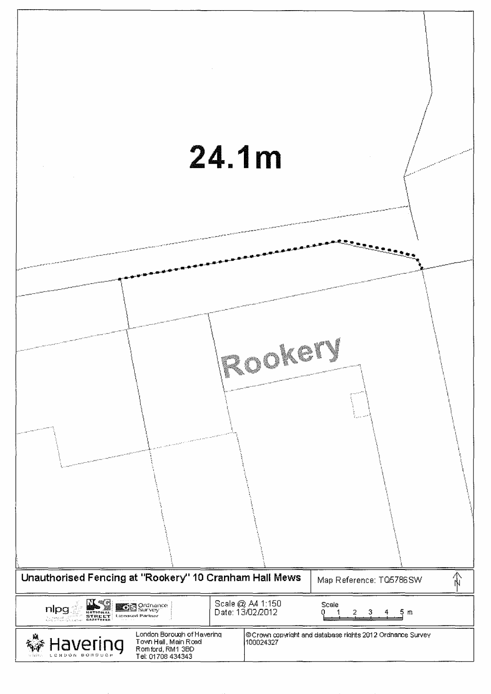